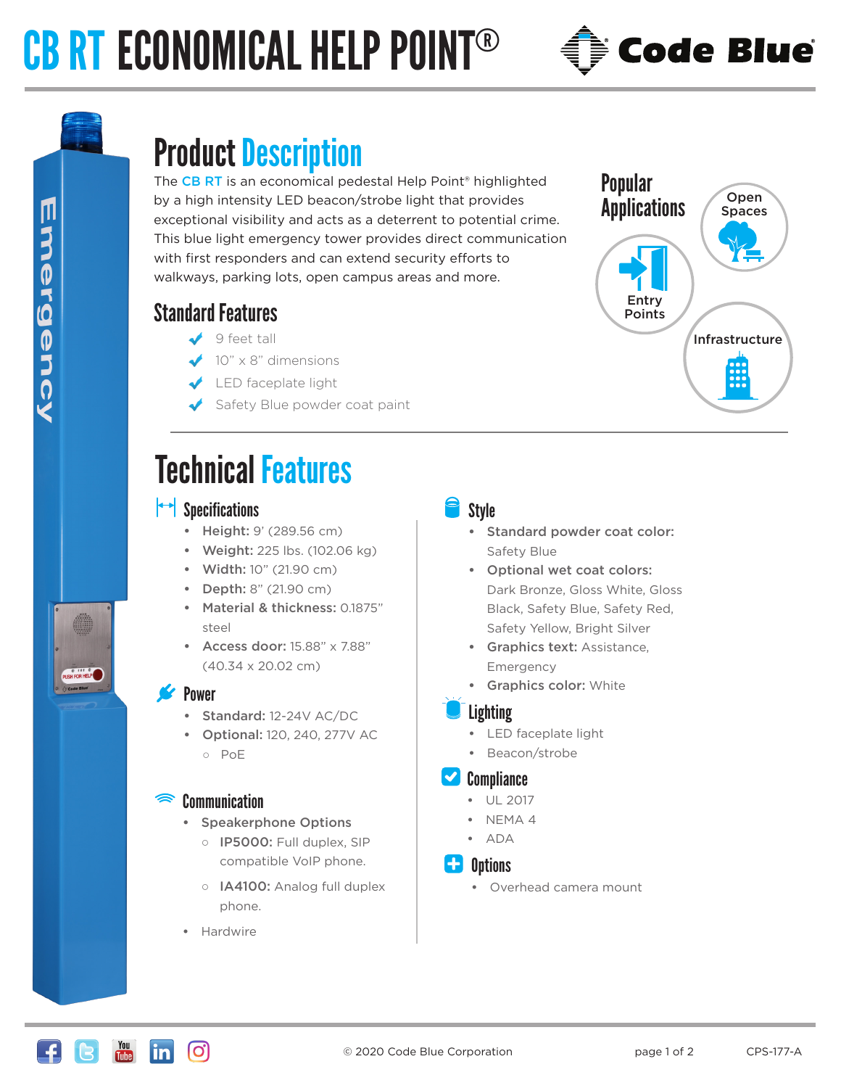# CB RT ECONOMICAL HELP POINT®



# Product Description

The CB RT is an economical pedestal Help Point<sup>®</sup> highlighted by a high intensity LED beacon/strobe light that provides exceptional visibility and acts as a deterrent to potential crime. This blue light emergency tower provides direct communication with first responders and can extend security efforts to walkways, parking lots, open campus areas and more.

### Standard Features

- $9$  feet tall
- $\bigvee$  10" x 8" dimensions
- LED faceplate light
- Safety Blue powder coat paint

## Technical Features

#### $\left| \rightarrow \right|$  Specifications

- **•** Height: 9' (289.56 cm)
- **•** Weight: 225 lbs. (102.06 kg)
- **•** Width: 10" (21.90 cm)
- **•** Depth: 8" (21.90 cm)
- **•** Material & thickness: 0.1875" steel
- **•** Access door: 15.88" x 7.88" (40.34 x 20.02 cm)

#### Power

- **•** Standard: 12-24V AC/DC
- **•** Optional: 120, 240, 277V AC ○ PoE

#### **Communication**

- **•** Speakerphone Options
	- o IP5000: Full duplex, SIP compatible VoIP phone.
	- o **IA4100:** Analog full duplex phone.
- **•** Hardwire

#### **Style**

- **•** Standard powder coat color: Safety Blue
- **•** Optional wet coat colors: Dark Bronze, Gloss White, Gloss Black, Safety Blue, Safety Red, Safety Yellow, Bright Silver
- **Graphics text: Assistance,** Emergency
- **Graphics color: White**

#### Lighting

- **•** LED faceplate light
- **•** Beacon/strobe

#### **Compliance**

- **•** UL 2017
- **•** NEMA 4
- **•** ADA

#### **C.** Options

**•** Overhead camera mount